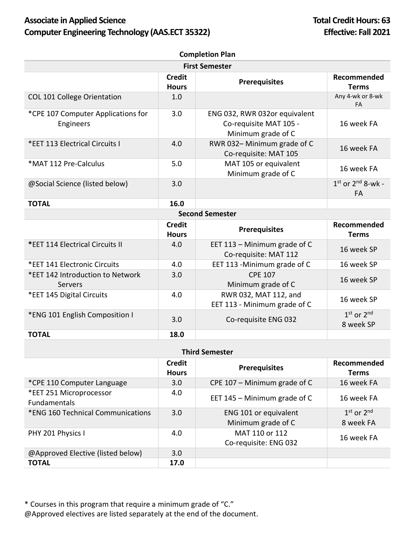## Associate in Applied Science **Total Credit Hours: 63 Computer Engineering Technology (AAS.ECT 35322) Effective: Fall 2021**

| <b>Completion Plan</b>                          |                               |                                                                               |                             |  |  |  |
|-------------------------------------------------|-------------------------------|-------------------------------------------------------------------------------|-----------------------------|--|--|--|
| <b>First Semester</b>                           |                               |                                                                               |                             |  |  |  |
|                                                 | <b>Credit</b><br><b>Hours</b> | <b>Prerequisites</b>                                                          | Recommended<br><b>Terms</b> |  |  |  |
| <b>COL 101 College Orientation</b>              | 1.0                           |                                                                               | Any 4-wk or 8-wk<br>FA      |  |  |  |
| *CPE 107 Computer Applications for<br>Engineers | 3.0                           | ENG 032, RWR 032or equivalent<br>Co-requisite MAT 105 -<br>Minimum grade of C | 16 week FA                  |  |  |  |
| *EET 113 Electrical Circuits I                  | 4.0                           | RWR 032-Minimum grade of C<br>Co-requisite: MAT 105                           | 16 week FA                  |  |  |  |
| *MAT 112 Pre-Calculus                           | 5.0                           | MAT 105 or equivalent<br>Minimum grade of C                                   | 16 week FA                  |  |  |  |
| @Social Science (listed below)                  | 3.0                           |                                                                               | $1st$ or $2nd$ 8-wk -<br>FA |  |  |  |
| <b>TOTAL</b>                                    | 16.0                          |                                                                               |                             |  |  |  |
| <b>Second Semester</b>                          |                               |                                                                               |                             |  |  |  |
|                                                 | <b>Credit</b><br><b>Hours</b> | <b>Prerequisites</b>                                                          | Recommended<br><b>Terms</b> |  |  |  |
| *EET 114 Electrical Circuits II                 | 4.0                           | EET 113 - Minimum grade of C<br>Co-requisite: MAT 112                         | 16 week SP                  |  |  |  |
| *EET 141 Electronic Circuits                    | 4.0                           | EET 113 - Minimum grade of C                                                  | 16 week SP                  |  |  |  |
| *EET 142 Introduction to Network<br>Servers     | 3.0                           | <b>CPE 107</b><br>Minimum grade of C                                          | 16 week SP                  |  |  |  |
| *EET 145 Digital Circuits                       | 4.0                           | RWR 032, MAT 112, and<br>EET 113 - Minimum grade of C                         | 16 week SP                  |  |  |  |
| *ENG 101 English Composition I                  | 3.0                           | Co-requisite ENG 032                                                          | $1st$ or $2nd$<br>8 week SP |  |  |  |
| <b>TOTAL</b>                                    | 18.0                          |                                                                               |                             |  |  |  |

| <b>Third Semester</b>                          |                               |                                             |                             |  |  |
|------------------------------------------------|-------------------------------|---------------------------------------------|-----------------------------|--|--|
|                                                | <b>Credit</b><br><b>Hours</b> | <b>Prerequisites</b>                        | Recommended<br><b>Terms</b> |  |  |
| *CPE 110 Computer Language                     | 3.0                           | CPE 107 $-$ Minimum grade of C              | 16 week FA                  |  |  |
| *EET 251 Microprocessor<br><b>Fundamentals</b> | 4.0                           | EET 145 - Minimum grade of C                | 16 week FA                  |  |  |
| *ENG 160 Technical Communications              | 3.0                           | ENG 101 or equivalent<br>Minimum grade of C | $1st$ or $2nd$<br>8 week FA |  |  |
| PHY 201 Physics I                              | 4.0                           | MAT 110 or 112<br>Co-requisite: ENG 032     | 16 week FA                  |  |  |
| @Approved Elective (listed below)              | 3.0 <sub>2</sub>              |                                             |                             |  |  |
| <b>TOTAL</b>                                   | 17.0                          |                                             |                             |  |  |

\* Courses in this program that require a minimum grade of "C."

@Approved electives are listed separately at the end of the document.